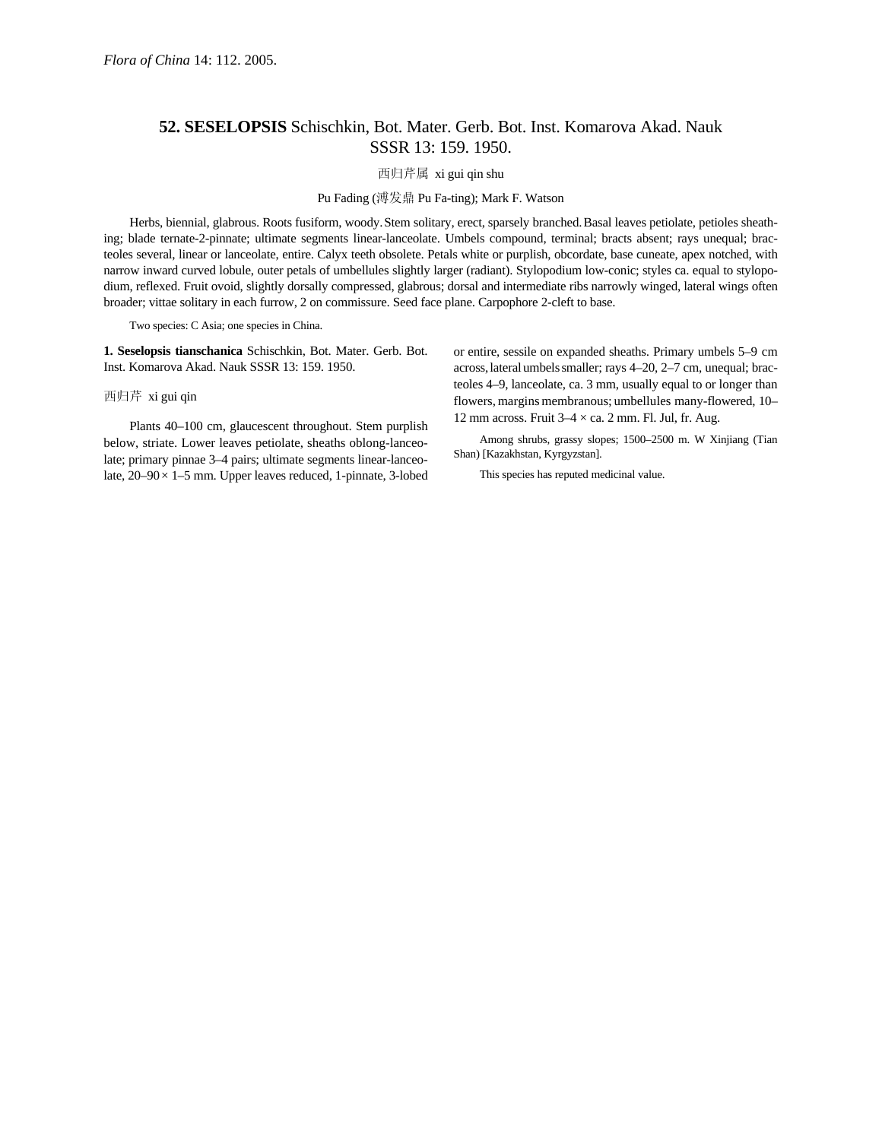## **52. SESELOPSIS** Schischkin, Bot. Mater. Gerb. Bot. Inst. Komarova Akad. Nauk SSSR 13: 159. 1950.

## 西归芹属 xi gui qin shu

## Pu Fading (溥发鼎 Pu Fa-ting); Mark F. Watson

Herbs, biennial, glabrous. Roots fusiform, woody.Stem solitary, erect, sparsely branched.Basal leaves petiolate, petioles sheathing; blade ternate-2-pinnate; ultimate segments linear-lanceolate. Umbels compound, terminal; bracts absent; rays unequal; bracteoles several, linear or lanceolate, entire. Calyx teeth obsolete. Petals white or purplish, obcordate, base cuneate, apex notched, with narrow inward curved lobule, outer petals of umbellules slightly larger (radiant). Stylopodium low-conic; styles ca. equal to stylopodium, reflexed. Fruit ovoid, slightly dorsally compressed, glabrous; dorsal and intermediate ribs narrowly winged, lateral wings often broader; vittae solitary in each furrow, 2 on commissure. Seed face plane. Carpophore 2-cleft to base.

Two species: C Asia; one species in China.

**1. Seselopsis tianschanica** Schischkin, Bot. Mater. Gerb. Bot. Inst. Komarova Akad. Nauk SSSR 13: 159. 1950.

西归芹 xi gui qin

Plants 40–100 cm, glaucescent throughout. Stem purplish below, striate. Lower leaves petiolate, sheaths oblong-lanceolate; primary pinnae 3–4 pairs; ultimate segments linear-lanceolate, 20–90× 1–5 mm. Upper leaves reduced, 1-pinnate, 3-lobed or entire, sessile on expanded sheaths. Primary umbels 5–9 cm across,lateral umbelssmaller; rays 4–20, 2–7 cm, unequal; bracteoles 4–9, lanceolate, ca. 3 mm, usually equal to or longer than flowers, margins membranous; umbellules many-flowered, 10-12 mm across. Fruit  $3-4 \times$  ca. 2 mm. Fl. Jul, fr. Aug.

Among shrubs, grassy slopes; 1500–2500 m. W Xinjiang (Tian Shan) [Kazakhstan, Kyrgyzstan].

This species has reputed medicinal value.